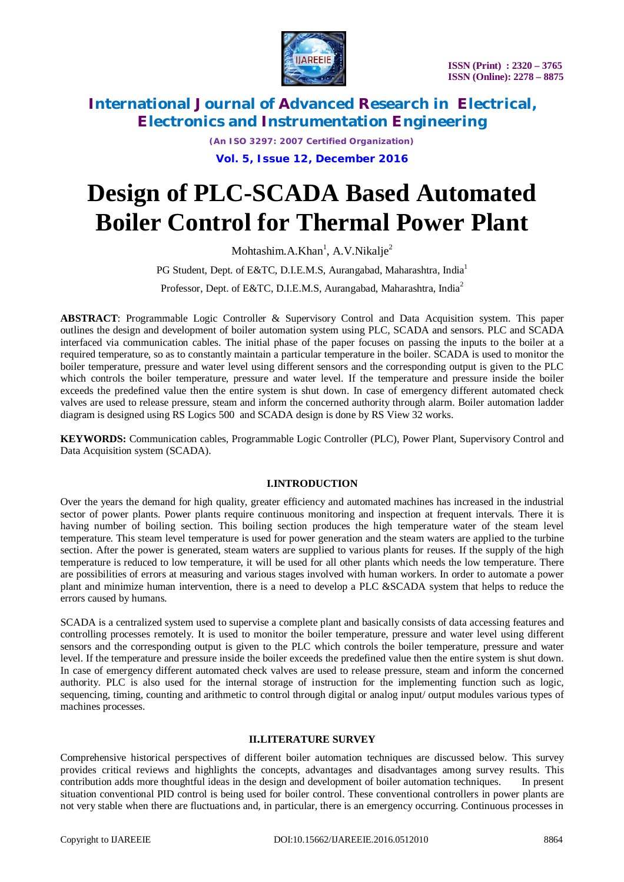

*(An ISO 3297: 2007 Certified Organization)* **Vol. 5, Issue 12, December 2016**

# **Design of PLC-SCADA Based Automated Boiler Control for Thermal Power Plant**

Mohtashim.A.Khan<sup>1</sup>, A.V.Nikalje<sup>2</sup>

PG Student, Dept. of E&TC, D.I.E.M.S, Aurangabad, Maharashtra, India<sup>1</sup>

Professor, Dept. of E&TC, D.I.E.M.S. Aurangabad, Maharashtra, India<sup>2</sup>

**ABSTRACT**: Programmable Logic Controller & Supervisory Control and Data Acquisition system. This paper outlines the design and development of boiler automation system using PLC, SCADA and sensors. PLC and SCADA interfaced via communication cables. The initial phase of the paper focuses on passing the inputs to the boiler at a required temperature, so as to constantly maintain a particular temperature in the boiler. SCADA is used to monitor the boiler temperature, pressure and water level using different sensors and the corresponding output is given to the PLC which controls the boiler temperature, pressure and water level. If the temperature and pressure inside the boiler exceeds the predefined value then the entire system is shut down. In case of emergency different automated check valves are used to release pressure, steam and inform the concerned authority through alarm. Boiler automation ladder diagram is designed using RS Logics 500 and SCADA design is done by RS View 32 works.

**KEYWORDS:** Communication cables, Programmable Logic Controller (PLC), Power Plant, Supervisory Control and Data Acquisition system (SCADA).

#### **I.INTRODUCTION**

Over the years the demand for high quality, greater efficiency and automated machines has increased in the industrial sector of power plants. Power plants require continuous monitoring and inspection at frequent intervals. There it is having number of boiling section. This boiling section produces the high temperature water of the steam level temperature. This steam level temperature is used for power generation and the steam waters are applied to the turbine section. After the power is generated, steam waters are supplied to various plants for reuses. If the supply of the high temperature is reduced to low temperature, it will be used for all other plants which needs the low temperature. There are possibilities of errors at measuring and various stages involved with human workers. In order to automate a power plant and minimize human intervention, there is a need to develop a PLC &SCADA system that helps to reduce the errors caused by humans.

SCADA is a centralized system used to supervise a complete plant and basically consists of data accessing features and controlling processes remotely. It is used to monitor the boiler temperature, pressure and water level using different sensors and the corresponding output is given to the PLC which controls the boiler temperature, pressure and water level. If the temperature and pressure inside the boiler exceeds the predefined value then the entire system is shut down. In case of emergency different automated check valves are used to release pressure, steam and inform the concerned authority. PLC is also used for the internal storage of instruction for the implementing function such as logic, sequencing, timing, counting and arithmetic to control through digital or analog input/ output modules various types of machines processes.

#### **II.LITERATURE SURVEY**

Comprehensive historical perspectives of different boiler automation techniques are discussed below. This survey provides critical reviews and highlights the concepts, advantages and disadvantages among survey results. This contribution adds more thoughtful ideas in the design and development of boiler automation techniques. In present situation conventional PID control is being used for boiler control. These conventional controllers in power plants are not very stable when there are fluctuations and, in particular, there is an emergency occurring. Continuous processes in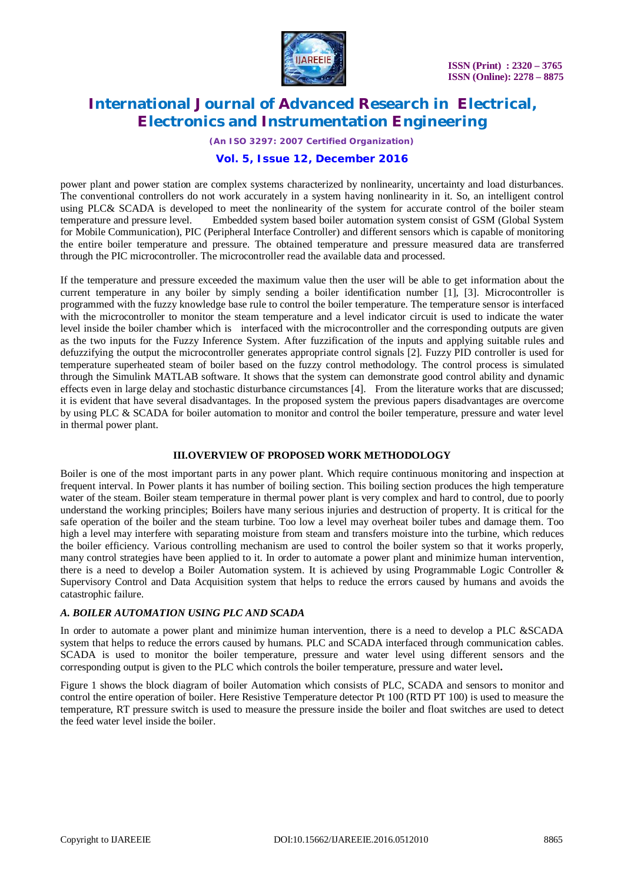

*(An ISO 3297: 2007 Certified Organization)*

### **Vol. 5, Issue 12, December 2016**

power plant and power station are complex systems characterized by nonlinearity, uncertainty and load disturbances. The conventional controllers do not work accurately in a system having nonlinearity in it. So, an intelligent control using PLC& SCADA is developed to meet the nonlinearity of the system for accurate control of the boiler steam temperature and pressure level. Embedded system based boiler automation system consist of GSM (Global System for Mobile Communication), PIC (Peripheral Interface Controller) and different sensors which is capable of monitoring the entire boiler temperature and pressure. The obtained temperature and pressure measured data are transferred through the PIC microcontroller. The microcontroller read the available data and processed.

If the temperature and pressure exceeded the maximum value then the user will be able to get information about the current temperature in any boiler by simply sending a boiler identification number [1], [3]. Microcontroller is programmed with the fuzzy knowledge base rule to control the boiler temperature. The temperature sensor is interfaced with the microcontroller to monitor the steam temperature and a level indicator circuit is used to indicate the water level inside the boiler chamber which is interfaced with the microcontroller and the corresponding outputs are given as the two inputs for the Fuzzy Inference System. After fuzzification of the inputs and applying suitable rules and defuzzifying the output the microcontroller generates appropriate control signals [2]. Fuzzy PID controller is used for temperature superheated steam of boiler based on the fuzzy control methodology. The control process is simulated through the Simulink MATLAB software. It shows that the system can demonstrate good control ability and dynamic effects even in large delay and stochastic disturbance circumstances [4]. From the literature works that are discussed; it is evident that have several disadvantages. In the proposed system the previous papers disadvantages are overcome by using PLC & SCADA for boiler automation to monitor and control the boiler temperature, pressure and water level in thermal power plant.

#### **III.OVERVIEW OF PROPOSED WORK METHODOLOGY**

Boiler is one of the most important parts in any power plant. Which require continuous monitoring and inspection at frequent interval. In Power plants it has number of boiling section. This boiling section produces the high temperature water of the steam. Boiler steam temperature in thermal power plant is very complex and hard to control, due to poorly understand the working principles; Boilers have many serious injuries and destruction of property. It is critical for the safe operation of the boiler and the steam turbine. Too low a level may overheat boiler tubes and damage them. Too high a level may interfere with separating moisture from steam and transfers moisture into the turbine, which reduces the boiler efficiency. Various controlling mechanism are used to control the boiler system so that it works properly, many control strategies have been applied to it. In order to automate a power plant and minimize human intervention, there is a need to develop a Boiler Automation system. It is achieved by using Programmable Logic Controller & Supervisory Control and Data Acquisition system that helps to reduce the errors caused by humans and avoids the catastrophic failure.

### *A. BOILER AUTOMATION USING PLC AND SCADA*

In order to automate a power plant and minimize human intervention, there is a need to develop a PLC &SCADA system that helps to reduce the errors caused by humans. PLC and SCADA interfaced through communication cables. SCADA is used to monitor the boiler temperature, pressure and water level using different sensors and the corresponding output is given to the PLC which controls the boiler temperature, pressure and water level**.**

Figure 1 shows the block diagram of boiler Automation which consists of PLC, SCADA and sensors to monitor and control the entire operation of boiler. Here Resistive Temperature detector Pt 100 (RTD PT 100) is used to measure the temperature, RT pressure switch is used to measure the pressure inside the boiler and float switches are used to detect the feed water level inside the boiler.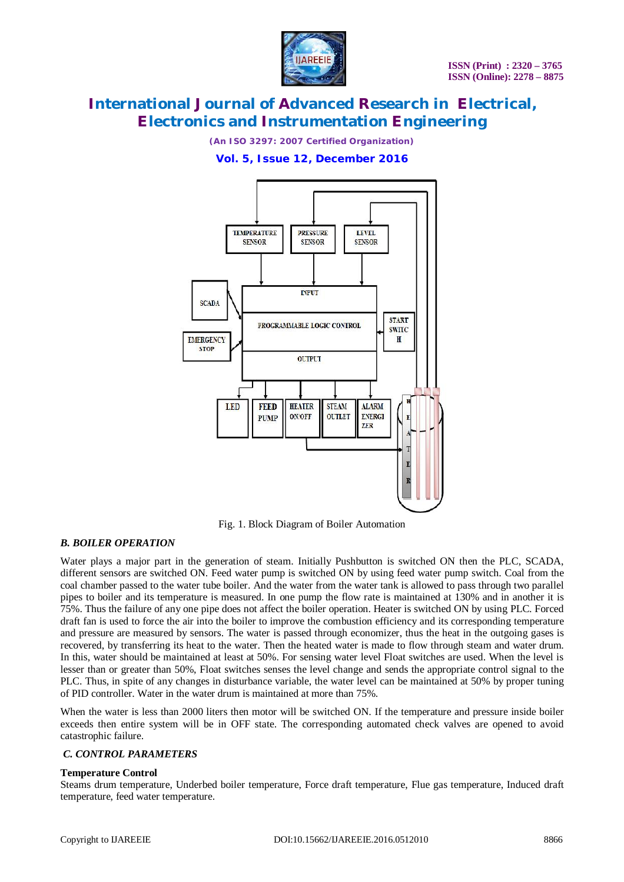

*(An ISO 3297: 2007 Certified Organization)*

### **Vol. 5, Issue 12, December 2016**



Fig. 1. Block Diagram of Boiler Automation

#### *B. BOILER OPERATION*

Water plays a major part in the generation of steam. Initially Pushbutton is switched ON then the PLC, SCADA, different sensors are switched ON. Feed water pump is switched ON by using feed water pump switch. Coal from the coal chamber passed to the water tube boiler. And the water from the water tank is allowed to pass through two parallel pipes to boiler and its temperature is measured. In one pump the flow rate is maintained at 130% and in another it is 75%. Thus the failure of any one pipe does not affect the boiler operation. Heater is switched ON by using PLC. Forced draft fan is used to force the air into the boiler to improve the combustion efficiency and its corresponding temperature and pressure are measured by sensors. The water is passed through economizer, thus the heat in the outgoing gases is recovered, by transferring its heat to the water. Then the heated water is made to flow through steam and water drum. In this, water should be maintained at least at 50%. For sensing water level Float switches are used. When the level is lesser than or greater than 50%, Float switches senses the level change and sends the appropriate control signal to the PLC. Thus, in spite of any changes in disturbance variable, the water level can be maintained at 50% by proper tuning of PID controller. Water in the water drum is maintained at more than 75%.

When the water is less than 2000 liters then motor will be switched ON. If the temperature and pressure inside boiler exceeds then entire system will be in OFF state. The corresponding automated check valves are opened to avoid catastrophic failure.

#### *C. CONTROL PARAMETERS*

#### **Temperature Control**

Steams drum temperature, Underbed boiler temperature, Force draft temperature, Flue gas temperature, Induced draft temperature, feed water temperature.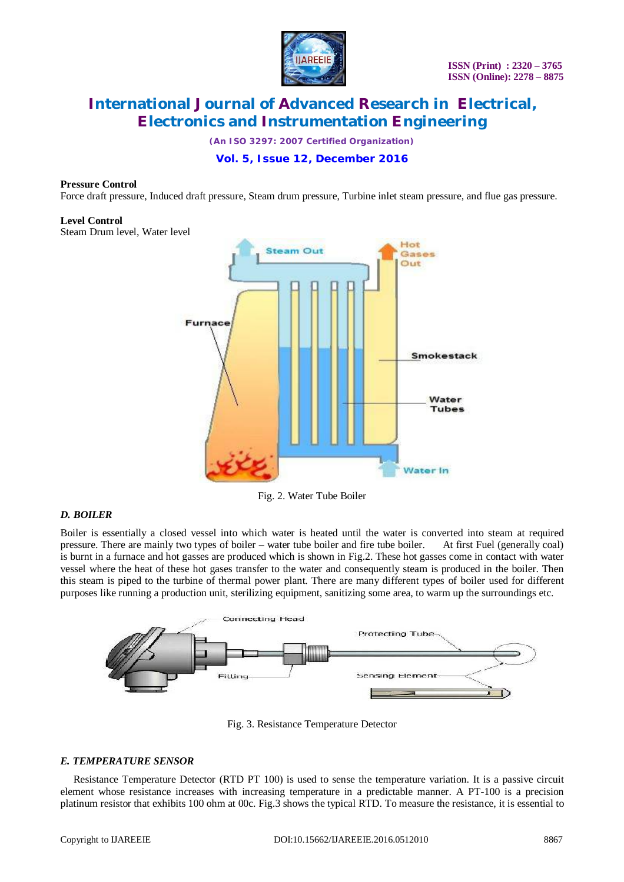

*(An ISO 3297: 2007 Certified Organization)*

# **Vol. 5, Issue 12, December 2016**

#### **Pressure Control**

Force draft pressure, Induced draft pressure, Steam drum pressure, Turbine inlet steam pressure, and flue gas pressure.

#### **Level Control**

Steam Drum level, Water level



Fig. 2. Water Tube Boiler

#### *D. BOILER*

Boiler is essentially a closed vessel into which water is heated until the water is converted into steam at required pressure. There are mainly two types of boiler – water tube boiler and fire tube boiler. At first Fuel (g pressure. There are mainly two types of boiler – water tube boiler and fire tube boiler. is burnt in a furnace and hot gasses are produced which is shown in Fig.2. These hot gasses come in contact with water vessel where the heat of these hot gases transfer to the water and consequently steam is produced in the boiler. Then this steam is piped to the turbine of thermal power plant. There are many different types of boiler used for different purposes like running a production unit, sterilizing equipment, sanitizing some area, to warm up the surroundings etc.



Fig. 3. Resistance Temperature Detector

#### *E. TEMPERATURE SENSOR*

Resistance Temperature Detector (RTD PT 100) is used to sense the temperature variation. It is a passive circuit element whose resistance increases with increasing temperature in a predictable manner. A PT-100 is a precision platinum resistor that exhibits 100 ohm at 00c. Fig.3 shows the typical RTD. To measure the resistance, it is essential to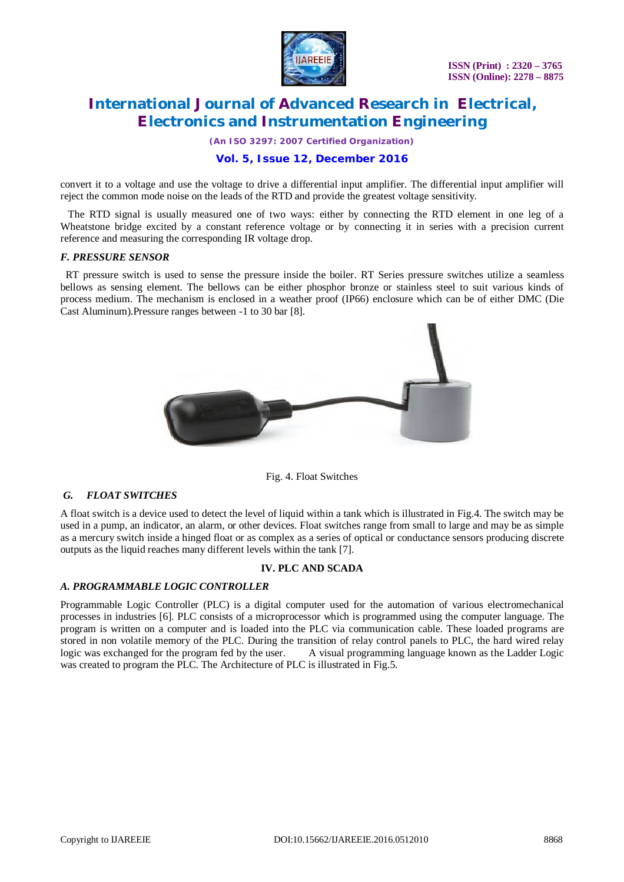

*(An ISO 3297: 2007 Certified Organization)*

### **Vol. 5, Issue 12, December 2016**

convert it to a voltage and use the voltage to drive a differential input amplifier. The differential input amplifier will reject the common mode noise on the leads of the RTD and provide the greatest voltage sensitivity.

 The RTD signal is usually measured one of two ways: either by connecting the RTD element in one leg of a Wheatstone bridge excited by a constant reference voltage or by connecting it in series with a precision current reference and measuring the corresponding IR voltage drop.

#### *F. PRESSURE SENSOR*

 RT pressure switch is used to sense the pressure inside the boiler. RT Series pressure switches utilize a seamless bellows as sensing element. The bellows can be either phosphor bronze or stainless steel to suit various kinds of process medium. The mechanism is enclosed in a weather proof (IP66) enclosure which can be of either DMC (Die Cast Aluminum).Pressure ranges between -1 to 30 bar [8].



Fig. 4. Float Switches

### *G. FLOAT SWITCHES*

A float switch is a device used to detect the level of liquid within a tank which is illustrated in Fig.4. The switch may be used in a pump, an indicator, an alarm, or other devices. Float switches range from small to large and may be as simple as a mercury switch inside a hinged float or as complex as a series of optical or conductance sensors producing discrete outputs as the liquid reaches many different levels within the tank [7].

#### **IV. PLC AND SCADA**

#### *A. PROGRAMMABLE LOGIC CONTROLLER*

Programmable Logic Controller (PLC) is a digital computer used for the automation of various electromechanical processes in industries [6]. PLC consists of a microprocessor which is programmed using the computer language. The program is written on a computer and is loaded into the PLC via communication cable. These loaded programs are stored in non volatile memory of the PLC. During the transition of relay control panels to PLC, the hard wired relay logic was exchanged for the program fed by the user. A visual programming language known as the Ladder Logic was created to program the PLC. The Architecture of PLC is illustrated in Fig.5.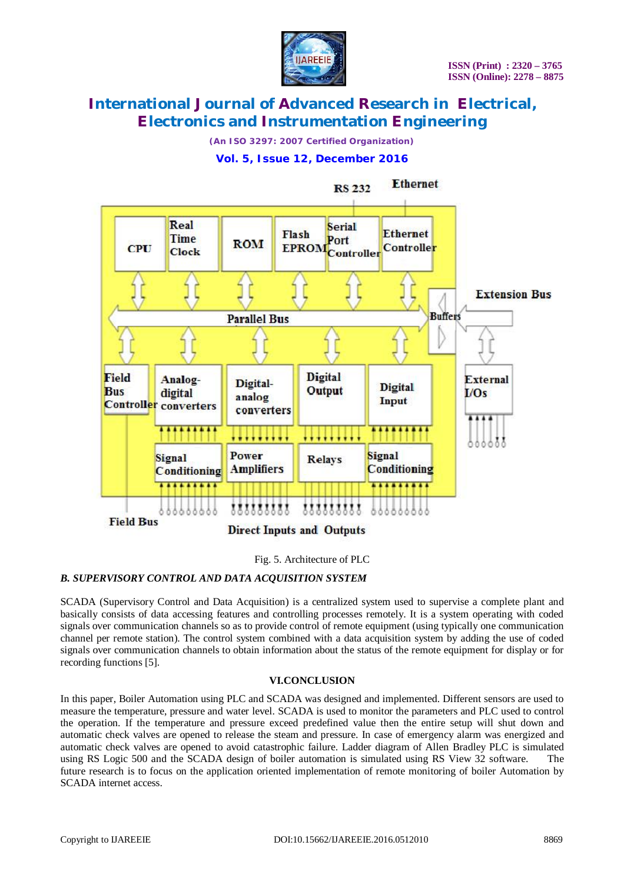

*(An ISO 3297: 2007 Certified Organization)*

# **Vol. 5, Issue 12, December 2016**



#### Fig. 5. Architecture of PLC

### *B. SUPERVISORY CONTROL AND DATA ACQUISITION SYSTEM*

SCADA (Supervisory Control and Data Acquisition) is a centralized system used to supervise a complete plant and basically consists of data accessing features and controlling processes remotely. It is a system operating with coded signals over communication channels so as to provide control of remote equipment (using typically one communication channel per remote station). The control system combined with a data acquisition system by adding the use of coded signals over communication channels to obtain information about the status of the remote equipment for display or for recording functions [5].

### **VI.CONCLUSION**

In this paper, Boiler Automation using PLC and SCADA was designed and implemented. Different sensors are used to measure the temperature, pressure and water level. SCADA is used to monitor the parameters and PLC used to control the operation. If the temperature and pressure exceed predefined value then the entire setup will shut down and automatic check valves are opened to release the steam and pressure. In case of emergency alarm was energized and automatic check valves are opened to avoid catastrophic failure. Ladder diagram of Allen Bradley PLC is simulated using RS Logic 500 and the SCADA design of boiler automation is simulated using RS View 32 software. The future research is to focus on the application oriented implementation of remote monitoring of boiler Automation by SCADA internet access.